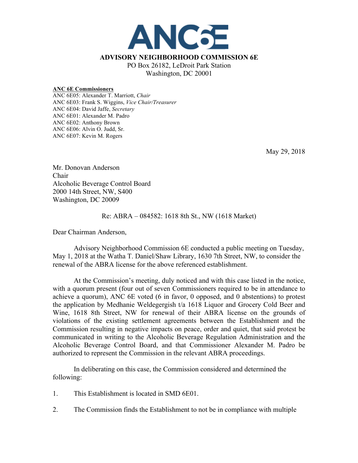

## **ANC 6E Commissioners**

ANC 6E05: Alexander T. Marriott, *Chair* ANC 6E03: Frank S. Wiggins, *Vice Chair/Treasurer* ANC 6E04: David Jaffe, *Secretary* ANC 6E01: Alexander M. Padro ANC 6E02: Anthony Brown ANC 6E06: Alvin O. Judd, Sr. ANC 6E07: Kevin M. Rogers

May 29, 2018

Mr. Donovan Anderson Chair Alcoholic Beverage Control Board 2000 14th Street, NW, S400 Washington, DC 20009

## Re: ABRA – 084582: 1618 8th St., NW (1618 Market)

Dear Chairman Anderson,

Advisory Neighborhood Commission 6E conducted a public meeting on Tuesday, May 1, 2018 at the Watha T. Daniel/Shaw Library, 1630 7th Street, NW, to consider the renewal of the ABRA license for the above referenced establishment.

At the Commission's meeting, duly noticed and with this case listed in the notice, with a quorum present (four out of seven Commissioners required to be in attendance to achieve a quorum), ANC 6E voted (6 in favor, 0 opposed, and 0 abstentions) to protest the application by Medhanie Weldegergish t/a 1618 Liquor and Grocery Cold Beer and Wine, 1618 8th Street, NW for renewal of their ABRA license on the grounds of violations of the existing settlement agreements between the Establishment and the Commission resulting in negative impacts on peace, order and quiet, that said protest be communicated in writing to the Alcoholic Beverage Regulation Administration and the Alcoholic Beverage Control Board, and that Commissioner Alexander M. Padro be authorized to represent the Commission in the relevant ABRA proceedings.

In deliberating on this case, the Commission considered and determined the following:

- 1. This Establishment is located in SMD 6E01.
- 2. The Commission finds the Establishment to not be in compliance with multiple